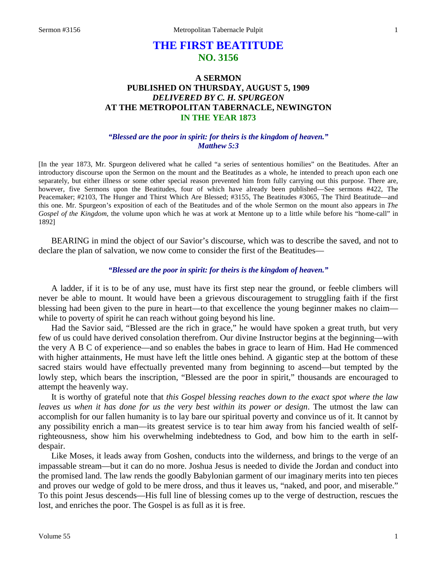# **THE FIRST BEATITUDE NO. 3156**

# **A SERMON PUBLISHED ON THURSDAY, AUGUST 5, 1909** *DELIVERED BY C. H. SPURGEON* **AT THE METROPOLITAN TABERNACLE, NEWINGTON IN THE YEAR 1873**

### *"Blessed are the poor in spirit: for theirs is the kingdom of heaven." Matthew 5:3*

[In the year 1873, Mr. Spurgeon delivered what he called "a series of sententious homilies" on the Beatitudes. After an introductory discourse upon the Sermon on the mount and the Beatitudes as a whole, he intended to preach upon each one separately, but either illness or some other special reason prevented him from fully carrying out this purpose. There are, however, five Sermons upon the Beatitudes, four of which have already been published—See sermons #422, The Peacemaker; #2103, The Hunger and Thirst Which Are Blessed; #3155, The Beatitudes #3065, The Third Beatitude—and this one. Mr. Spurgeon's exposition of each of the Beatitudes and of the whole Sermon on the mount also appears in *The Gospel of the Kingdom*, the volume upon which he was at work at Mentone up to a little while before his "home-call" in 1892]

BEARING in mind the object of our Savior's discourse, which was to describe the saved, and not to declare the plan of salvation, we now come to consider the first of the Beatitudes—

#### *"Blessed are the poor in spirit: for theirs is the kingdom of heaven."*

A ladder, if it is to be of any use, must have its first step near the ground, or feeble climbers will never be able to mount. It would have been a grievous discouragement to struggling faith if the first blessing had been given to the pure in heart—to that excellence the young beginner makes no claim while to poverty of spirit he can reach without going beyond his line.

Had the Savior said, "Blessed are the rich in grace," he would have spoken a great truth, but very few of us could have derived consolation therefrom. Our divine Instructor begins at the beginning—with the very A B C of experience—and so enables the babes in grace to learn of Him. Had He commenced with higher attainments, He must have left the little ones behind. A gigantic step at the bottom of these sacred stairs would have effectually prevented many from beginning to ascend—but tempted by the lowly step, which bears the inscription, "Blessed are the poor in spirit," thousands are encouraged to attempt the heavenly way.

It is worthy of grateful note that *this Gospel blessing reaches down to the exact spot where the law leaves us when it has done for us the very best within its power or design*. The utmost the law can accomplish for our fallen humanity is to lay bare our spiritual poverty and convince us of it. It cannot by any possibility enrich a man—its greatest service is to tear him away from his fancied wealth of selfrighteousness, show him his overwhelming indebtedness to God, and bow him to the earth in selfdespair.

Like Moses, it leads away from Goshen, conducts into the wilderness, and brings to the verge of an impassable stream—but it can do no more. Joshua Jesus is needed to divide the Jordan and conduct into the promised land. The law rends the goodly Babylonian garment of our imaginary merits into ten pieces and proves our wedge of gold to be mere dross, and thus it leaves us, "naked, and poor, and miserable." To this point Jesus descends—His full line of blessing comes up to the verge of destruction, rescues the lost, and enriches the poor. The Gospel is as full as it is free.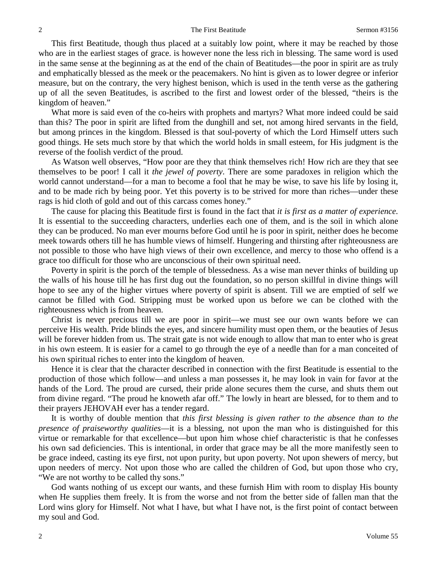This first Beatitude, though thus placed at a suitably low point, where it may be reached by those who are in the earliest stages of grace. is however none the less rich in blessing. The same word is used in the same sense at the beginning as at the end of the chain of Beatitudes—the poor in spirit are as truly and emphatically blessed as the meek or the peacemakers. No hint is given as to lower degree or inferior measure, but on the contrary, the very highest benison, which is used in the tenth verse as the gathering up of all the seven Beatitudes, is ascribed to the first and lowest order of the blessed, "theirs is the kingdom of heaven."

What more is said even of the co-heirs with prophets and martyrs? What more indeed could be said than this? The poor in spirit are lifted from the dunghill and set, not among hired servants in the field, but among princes in the kingdom. Blessed is that soul-poverty of which the Lord Himself utters such good things. He sets much store by that which the world holds in small esteem, for His judgment is the reverse of the foolish verdict of the proud.

As Watson well observes, "How poor are they that think themselves rich! How rich are they that see themselves to be poor! I call it *the jewel of poverty*. There are some paradoxes in religion which the world cannot understand—for a man to become a fool that he may be wise, to save his life by losing it, and to be made rich by being poor. Yet this poverty is to be strived for more than riches—under these rags is hid cloth of gold and out of this carcass comes honey."

The cause for placing this Beatitude first is found in the fact that *it is first as a matter of experience.* It is essential to the succeeding characters, underlies each one of them, and is the soil in which alone they can be produced. No man ever mourns before God until he is poor in spirit, neither does he become meek towards others till he has humble views of himself. Hungering and thirsting after righteousness are not possible to those who have high views of their own excellence, and mercy to those who offend is a grace too difficult for those who are unconscious of their own spiritual need.

Poverty in spirit is the porch of the temple of blessedness. As a wise man never thinks of building up the walls of his house till he has first dug out the foundation, so no person skillful in divine things will hope to see any of the higher virtues where poverty of spirit is absent. Till we are emptied of self we cannot be filled with God. Stripping must be worked upon us before we can be clothed with the righteousness which is from heaven.

Christ is never precious till we are poor in spirit—we must see our own wants before we can perceive His wealth. Pride blinds the eyes, and sincere humility must open them, or the beauties of Jesus will be forever hidden from us. The strait gate is not wide enough to allow that man to enter who is great in his own esteem. It is easier for a camel to go through the eye of a needle than for a man conceited of his own spiritual riches to enter into the kingdom of heaven.

Hence it is clear that the character described in connection with the first Beatitude is essential to the production of those which follow—and unless a man possesses it, he may look in vain for favor at the hands of the Lord. The proud are cursed, their pride alone secures them the curse, and shuts them out from divine regard. "The proud he knoweth afar off." The lowly in heart are blessed, for to them and to their prayers JEHOVAH ever has a tender regard.

It is worthy of double mention that *this first blessing is given rather to the absence than to the presence of praiseworthy qualities*—it is a blessing, not upon the man who is distinguished for this virtue or remarkable for that excellence—but upon him whose chief characteristic is that he confesses his own sad deficiencies. This is intentional, in order that grace may be all the more manifestly seen to be grace indeed, casting its eye first, not upon purity, but upon poverty. Not upon shewers of mercy, but upon needers of mercy. Not upon those who are called the children of God, but upon those who cry, "We are not worthy to be called thy sons."

God wants nothing of us except our wants, and these furnish Him with room to display His bounty when He supplies them freely. It is from the worse and not from the better side of fallen man that the Lord wins glory for Himself. Not what I have, but what I have not, is the first point of contact between my soul and God.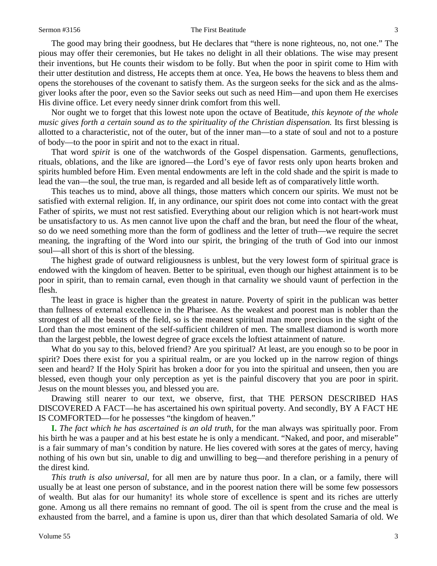#### Sermon #3156 The First Beatitude 3

The good may bring their goodness, but He declares that "there is none righteous, no, not one." The pious may offer their ceremonies, but He takes no delight in all their oblations. The wise may present their inventions, but He counts their wisdom to be folly. But when the poor in spirit come to Him with their utter destitution and distress, He accepts them at once. Yea, He bows the heavens to bless them and opens the storehouses of the covenant to satisfy them. As the surgeon seeks for the sick and as the almsgiver looks after the poor, even so the Savior seeks out such as need Him—and upon them He exercises His divine office. Let every needy sinner drink comfort from this well.

Nor ought we to forget that this lowest note upon the octave of Beatitude, *this keynote of the whole music gives forth a certain sound as to the spirituality of the Christian dispensation.* Its first blessing is allotted to a characteristic, not of the outer, but of the inner man—to a state of soul and not to a posture of body—to the poor in spirit and not to the exact in ritual.

That word *spirit* is one of the watchwords of the Gospel dispensation. Garments, genuflections, rituals, oblations, and the like are ignored—the Lord's eye of favor rests only upon hearts broken and spirits humbled before Him. Even mental endowments are left in the cold shade and the spirit is made to lead the van—the soul, the true man, is regarded and all beside left as of comparatively little worth.

This teaches us to mind, above all things, those matters which concern our spirits. We must not be satisfied with external religion. If, in any ordinance, our spirit does not come into contact with the great Father of spirits, we must not rest satisfied. Everything about our religion which is not heart-work must be unsatisfactory to us. As men cannot live upon the chaff and the bran, but need the flour of the wheat, so do we need something more than the form of godliness and the letter of truth—we require the secret meaning, the ingrafting of the Word into our spirit, the bringing of the truth of God into our inmost soul—all short of this is short of the blessing.

The highest grade of outward religiousness is unblest, but the very lowest form of spiritual grace is endowed with the kingdom of heaven. Better to be spiritual, even though our highest attainment is to be poor in spirit, than to remain carnal, even though in that carnality we should vaunt of perfection in the flesh.

The least in grace is higher than the greatest in nature. Poverty of spirit in the publican was better than fullness of external excellence in the Pharisee. As the weakest and poorest man is nobler than the strongest of all the beasts of the field, so is the meanest spiritual man more precious in the sight of the Lord than the most eminent of the self-sufficient children of men. The smallest diamond is worth more than the largest pebble, the lowest degree of grace excels the loftiest attainment of nature.

What do you say to this, beloved friend? Are you spiritual? At least, are you enough so to be poor in spirit? Does there exist for you a spiritual realm, or are you locked up in the narrow region of things seen and heard? If the Holy Spirit has broken a door for you into the spiritual and unseen, then you are blessed, even though your only perception as yet is the painful discovery that you are poor in spirit. Jesus on the mount blesses you, and blessed you are.

Drawing still nearer to our text, we observe, first, that THE PERSON DESCRIBED HAS DISCOVERED A FACT—he has ascertained his own spiritual poverty. And secondly, BY A FACT HE IS COMFORTED—for he possesses "the kingdom of heaven."

**I.** *The fact which he has ascertained is an old truth*, for the man always was spiritually poor. From his birth he was a pauper and at his best estate he is only a mendicant. "Naked, and poor, and miserable" is a fair summary of man's condition by nature. He lies covered with sores at the gates of mercy, having nothing of his own but sin, unable to dig and unwilling to beg—and therefore perishing in a penury of the direst kind*.* 

*This truth is also universal*, for all men are by nature thus poor. In a clan, or a family, there will usually be at least one person of substance, and in the poorest nation there will be some few possessors of wealth. But alas for our humanity! its whole store of excellence is spent and its riches are utterly gone. Among us all there remains no remnant of good. The oil is spent from the cruse and the meal is exhausted from the barrel, and a famine is upon us, direr than that which desolated Samaria of old. We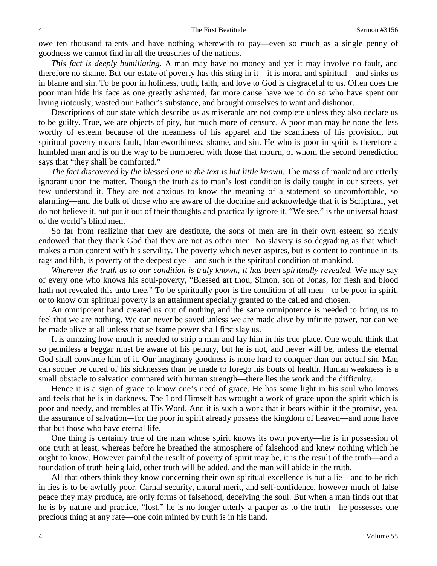owe ten thousand talents and have nothing wherewith to pay—even so much as a single penny of goodness we cannot find in all the treasuries of the nations.

*This fact is deeply humiliating.* A man may have no money and yet it may involve no fault, and therefore no shame. But our estate of poverty has this sting in it—it is moral and spiritual—and sinks us in blame and sin. To be poor in holiness, truth, faith, and love to God is disgraceful to us. Often does the poor man hide his face as one greatly ashamed, far more cause have we to do so who have spent our living riotously, wasted our Father's substance, and brought ourselves to want and dishonor.

Descriptions of our state which describe us as miserable are not complete unless they also declare us to be guilty. True, we are objects of pity, but much more of censure. A poor man may be none the less worthy of esteem because of the meanness of his apparel and the scantiness of his provision, but spiritual poverty means fault, blameworthiness, shame, and sin. He who is poor in spirit is therefore a humbled man and is on the way to be numbered with those that mourn, of whom the second benediction says that "they shall be comforted."

*The fact discovered by the blessed one in the text is but little known.* The mass of mankind are utterly ignorant upon the matter. Though the truth as to man's lost condition is daily taught in our streets, yet few understand it. They are not anxious to know the meaning of a statement so uncomfortable, so alarming—and the bulk of those who are aware of the doctrine and acknowledge that it is Scriptural, yet do not believe it, but put it out of their thoughts and practically ignore it. "We see," is the universal boast of the world's blind men.

So far from realizing that they are destitute, the sons of men are in their own esteem so richly endowed that they thank God that they are not as other men. No slavery is so degrading as that which makes a man content with his servility. The poverty which never aspires, but is content to continue in its rags and filth, is poverty of the deepest dye—and such is the spiritual condition of mankind.

*Wherever the truth as to our condition is truly known, it has been spiritually revealed.* We may say of every one who knows his soul-poverty, "Blessed art thou, Simon, son of Jonas, for flesh and blood hath not revealed this unto thee." To be spiritually poor is the condition of all men—to be poor in spirit, or to know our spiritual poverty is an attainment specially granted to the called and chosen.

An omnipotent hand created us out of nothing and the same omnipotence is needed to bring us to feel that we are nothing. We can never be saved unless we are made alive by infinite power, nor can we be made alive at all unless that selfsame power shall first slay us.

It is amazing how much is needed to strip a man and lay him in his true place. One would think that so penniless a beggar must be aware of his penury, but he is not, and never will be, unless the eternal God shall convince him of it. Our imaginary goodness is more hard to conquer than our actual sin. Man can sooner be cured of his sicknesses than be made to forego his bouts of health. Human weakness is a small obstacle to salvation compared with human strength—there lies the work and the difficulty.

Hence it is a sign of grace to know one's need of grace. He has some light in his soul who knows and feels that he is in darkness. The Lord Himself has wrought a work of grace upon the spirit which is poor and needy, and trembles at His Word. And it is such a work that it bears within it the promise, yea, the assurance of salvation*—*for the poor in spirit already possess the kingdom of heaven—and none have that but those who have eternal life.

One thing is certainly true of the man whose spirit knows its own poverty—he is in possession of one truth at least, whereas before he breathed the atmosphere of falsehood and knew nothing which he ought to know. However painful the result of poverty of spirit may be, it is the result of the truth—and a foundation of truth being laid, other truth will be added, and the man will abide in the truth.

All that others think they know concerning their own spiritual excellence is but a lie—and to be rich in lies is to be awfully poor. Carnal security, natural merit, and self-confidence, however much of false peace they may produce, are only forms of falsehood, deceiving the soul. But when a man finds out that he is by nature and practice, "lost," he is no longer utterly a pauper as to the truth—he possesses one precious thing at any rate—one coin minted by truth is in his hand.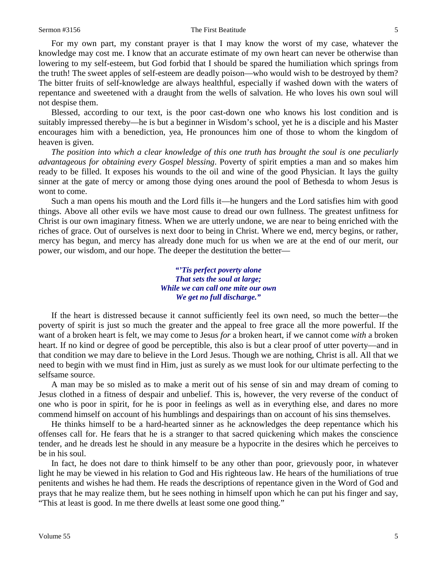#### Sermon #3156 The First Beatitude 5

For my own part, my constant prayer is that I may know the worst of my case, whatever the knowledge may cost me. I know that an accurate estimate of my own heart can never be otherwise than lowering to my self-esteem, but God forbid that I should be spared the humiliation which springs from the truth! The sweet apples of self-esteem are deadly poison—who would wish to be destroyed by them? The bitter fruits of self-knowledge are always healthful, especially if washed down with the waters of repentance and sweetened with a draught from the wells of salvation. He who loves his own soul will not despise them.

Blessed, according to our text, is the poor cast-down one who knows his lost condition and is suitably impressed thereby—he is but a beginner in Wisdom's school, yet he is a disciple and his Master encourages him with a benediction, yea, He pronounces him one of those to whom the kingdom of heaven is given.

*The position into which a clear knowledge of this one truth has brought the soul is one peculiarly advantageous for obtaining every Gospel blessing*. Poverty of spirit empties a man and so makes him ready to be filled. It exposes his wounds to the oil and wine of the good Physician. It lays the guilty sinner at the gate of mercy or among those dying ones around the pool of Bethesda to whom Jesus is wont to come.

Such a man opens his mouth and the Lord fills it—he hungers and the Lord satisfies him with good things. Above all other evils we have most cause to dread our own fullness. The greatest unfitness for Christ is our own imaginary fitness. When we are utterly undone, we are near to being enriched with the riches of grace. Out of ourselves is next door to being in Christ. Where we end, mercy begins, or rather, mercy has begun, and mercy has already done much for us when we are at the end of our merit, our power, our wisdom, and our hope. The deeper the destitution the better—

> *"'Tis perfect poverty alone That sets the soul at large; While we can call one mite our own We get no full discharge."*

If the heart is distressed because it cannot sufficiently feel its own need, so much the better—the poverty of spirit is just so much the greater and the appeal to free grace all the more powerful. If the want of a broken heart is felt, we may come to Jesus *for* a broken heart, if we cannot come *with* a broken heart. If no kind or degree of good be perceptible, this also is but a clear proof of utter poverty—and in that condition we may dare to believe in the Lord Jesus. Though we are nothing, Christ is all. All that we need to begin with we must find in Him, just as surely as we must look for our ultimate perfecting to the selfsame source.

A man may be so misled as to make a merit out of his sense of sin and may dream of coming to Jesus clothed in a fitness of despair and unbelief. This is, however, the very reverse of the conduct of one who is poor in spirit, for he is poor in feelings as well as in everything else, and dares no more commend himself on account of his humblings and despairings than on account of his sins themselves.

He thinks himself to be a hard-hearted sinner as he acknowledges the deep repentance which his offenses call for. He fears that he is a stranger to that sacred quickening which makes the conscience tender, and he dreads lest he should in any measure be a hypocrite in the desires which he perceives to be in his soul.

In fact, he does not dare to think himself to be any other than poor, grievously poor, in whatever light he may be viewed in his relation to God and His righteous law. He hears of the humiliations of true penitents and wishes he had them. He reads the descriptions of repentance given in the Word of God and prays that he may realize them, but he sees nothing in himself upon which he can put his finger and say, "This at least is good. In me there dwells at least some one good thing."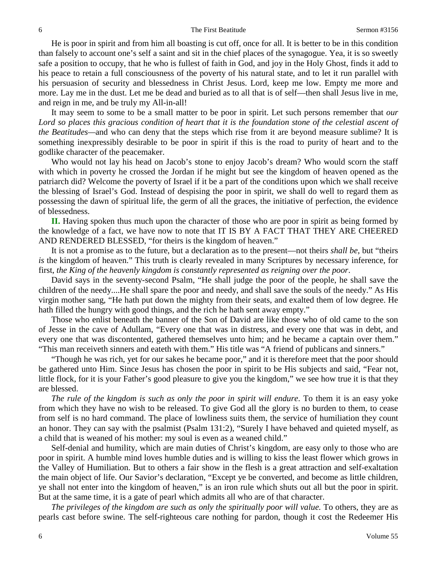He is poor in spirit and from him all boasting is cut off, once for all. It is better to be in this condition than falsely to account one's self a saint and sit in the chief places of the synagogue. Yea, it is so sweetly safe a position to occupy, that he who is fullest of faith in God, and joy in the Holy Ghost, finds it add to his peace to retain a full consciousness of the poverty of his natural state, and to let it run parallel with his persuasion of security and blessedness in Christ Jesus. Lord, keep me low. Empty me more and more. Lay me in the dust. Let me be dead and buried as to all that is of self—then shall Jesus live in me, and reign in me, and be truly my All-in-all!

It may seem to some to be a small matter to be poor in spirit. Let such persons remember that *our Lord so places this gracious condition of heart that it is the foundation stone of the celestial ascent of the Beatitudes—*and who can deny that the steps which rise from it are beyond measure sublime? It is something inexpressibly desirable to be poor in spirit if this is the road to purity of heart and to the godlike character of the peacemaker.

Who would not lay his head on Jacob's stone to enjoy Jacob's dream? Who would scorn the staff with which in poverty he crossed the Jordan if he might but see the kingdom of heaven opened as the patriarch did? Welcome the poverty of Israel if it be a part of the conditions upon which we shall receive the blessing of Israel's God. Instead of despising the poor in spirit, we shall do well to regard them as possessing the dawn of spiritual life, the germ of all the graces, the initiative of perfection, the evidence of blessedness.

**II.** Having spoken thus much upon the character of those who are poor in spirit as being formed by the knowledge of a fact, we have now to note that IT IS BY A FACT THAT THEY ARE CHEERED AND RENDERED BLESSED, "for theirs is the kingdom of heaven."

It is not a promise as to the future, but a declaration as to the present—not theirs *shall be*, but "theirs *is* the kingdom of heaven." This truth is clearly revealed in many Scriptures by necessary inference, for first, *the King of the heavenly kingdom is constantly represented as reigning over the poor*.

David says in the seventy-second Psalm, "He shall judge the poor of the people, he shall save the children of the needy....He shall spare the poor and needy, and shall save the souls of the needy." As His virgin mother sang, "He hath put down the mighty from their seats, and exalted them of low degree. He hath filled the hungry with good things, and the rich he hath sent away empty."

Those who enlist beneath the banner of the Son of David are like those who of old came to the son of Jesse in the cave of Adullam, "Every one that was in distress, and every one that was in debt, and every one that was discontented, gathered themselves unto him; and he became a captain over them." "This man receiveth sinners and eateth with them." His title was "A friend of publicans and sinners."

"Though he was rich, yet for our sakes he became poor," and it is therefore meet that the poor should be gathered unto Him. Since Jesus has chosen the poor in spirit to be His subjects and said, "Fear not, little flock, for it is your Father's good pleasure to give you the kingdom," we see how true it is that they are blessed.

*The rule of the kingdom is such as only the poor in spirit will endure*. To them it is an easy yoke from which they have no wish to be released. To give God all the glory is no burden to them, to cease from self is no hard command. The place of lowliness suits them, the service of humiliation they count an honor. They can say with the psalmist (Psalm 131:2), "Surely I have behaved and quieted myself, as a child that is weaned of his mother: my soul is even as a weaned child."

Self-denial and humility, which are main duties of Christ's kingdom, are easy only to those who are poor in spirit. A humble mind loves humble duties and is willing to kiss the least flower which grows in the Valley of Humiliation. But to others a fair show in the flesh is a great attraction and self-exaltation the main object of life. Our Savior's declaration, "Except ye be converted, and become as little children, ye shall not enter into the kingdom of heaven," is an iron rule which shuts out all but the poor in spirit. But at the same time, it is a gate of pearl which admits all who are of that character.

*The privileges of the kingdom are such as only the spiritually poor will value.* To others, they are as pearls cast before swine. The self-righteous care nothing for pardon, though it cost the Redeemer His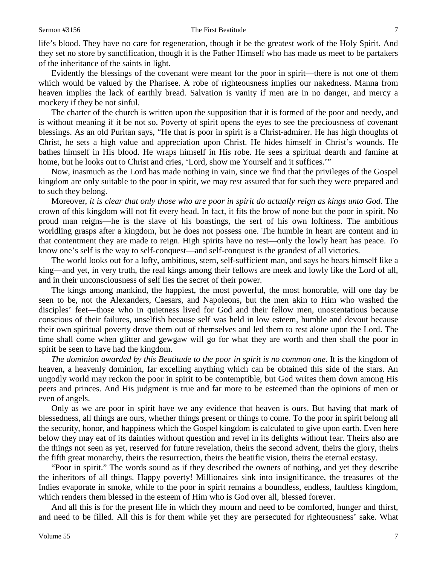life's blood. They have no care for regeneration, though it be the greatest work of the Holy Spirit. And they set no store by sanctification, though it is the Father Himself who has made us meet to be partakers of the inheritance of the saints in light.

Evidently the blessings of the covenant were meant for the poor in spirit—there is not one of them which would be valued by the Pharisee. A robe of righteousness implies our nakedness. Manna from heaven implies the lack of earthly bread. Salvation is vanity if men are in no danger, and mercy a mockery if they be not sinful.

The charter of the church is written upon the supposition that it is formed of the poor and needy, and is without meaning if it be not so. Poverty of spirit opens the eyes to see the preciousness of covenant blessings. As an old Puritan says, "He that is poor in spirit is a Christ-admirer. He has high thoughts of Christ, he sets a high value and appreciation upon Christ. He hides himself in Christ's wounds. He bathes himself in His blood. He wraps himself in His robe. He sees a spiritual dearth and famine at home, but he looks out to Christ and cries, 'Lord, show me Yourself and it suffices.'"

Now, inasmuch as the Lord has made nothing in vain, since we find that the privileges of the Gospel kingdom are only suitable to the poor in spirit, we may rest assured that for such they were prepared and to such they belong.

Moreover, *it is clear that only those who are poor in spirit do actually reign as kings unto God*. The crown of this kingdom will not fit every head. In fact, it fits the brow of none but the poor in spirit. No proud man reigns—he is the slave of his boastings, the serf of his own loftiness. The ambitious worldling grasps after a kingdom, but he does not possess one. The humble in heart are content and in that contentment they are made to reign. High spirits have no rest—only the lowly heart has peace. To know one's self is the way to self-conquest—and self-conquest is the grandest of all victories.

The world looks out for a lofty, ambitious, stern, self-sufficient man, and says he bears himself like a king—and yet, in very truth, the real kings among their fellows are meek and lowly like the Lord of all, and in their unconsciousness of self lies the secret of their power.

The kings among mankind, the happiest, the most powerful, the most honorable, will one day be seen to be, not the Alexanders, Caesars, and Napoleons, but the men akin to Him who washed the disciples' feet—those who in quietness lived for God and their fellow men, unostentatious because conscious of their failures, unselfish because self was held in low esteem, humble and devout because their own spiritual poverty drove them out of themselves and led them to rest alone upon the Lord. The time shall come when glitter and gewgaw will go for what they are worth and then shall the poor in spirit be seen to have had the kingdom.

*The dominion awarded by this Beatitude to the poor in spirit is no common one*. It is the kingdom of heaven, a heavenly dominion, far excelling anything which can be obtained this side of the stars. An ungodly world may reckon the poor in spirit to be contemptible, but God writes them down among His peers and princes. And His judgment is true and far more to be esteemed than the opinions of men or even of angels.

Only as we are poor in spirit have we any evidence that heaven is ours. But having that mark of blessedness, all things are ours, whether things present or things to come. To the poor in spirit belong all the security, honor, and happiness which the Gospel kingdom is calculated to give upon earth. Even here below they may eat of its dainties without question and revel in its delights without fear. Theirs also are the things not seen as yet, reserved for future revelation, theirs the second advent, theirs the glory, theirs the fifth great monarchy, theirs the resurrection, theirs the beatific vision, theirs the eternal ecstasy.

"Poor in spirit." The words sound as if they described the owners of nothing, and yet they describe the inheritors of all things. Happy poverty! Millionaires sink into insignificance, the treasures of the Indies evaporate in smoke, while to the poor in spirit remains a boundless, endless, faultless kingdom, which renders them blessed in the esteem of Him who is God over all, blessed forever.

And all this is for the present life in which they mourn and need to be comforted, hunger and thirst, and need to be filled. All this is for them while yet they are persecuted for righteousness' sake. What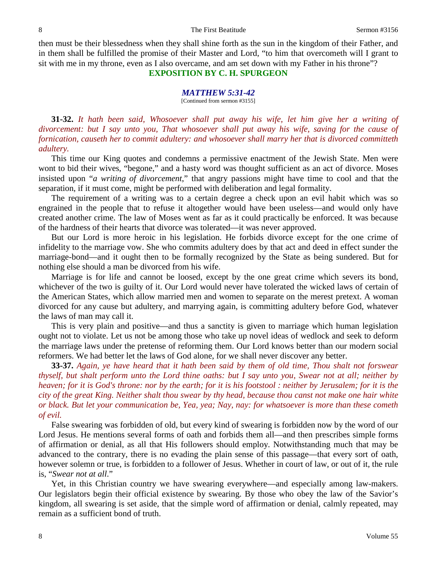then must be their blessedness when they shall shine forth as the sun in the kingdom of their Father, and in them shall be fulfilled the promise of their Master and Lord, "to him that overcometh will I grant to sit with me in my throne, even as I also overcame, and am set down with my Father in his throne"?

# **EXPOSITION BY C. H. SPURGEON**

## *MATTHEW 5:31-42*

[Continued from sermon #3155]

**31-32.** *It hath been said, Whosoever shall put away his wife, let him give her a writing of divorcement: but I say unto you, That whosoever shall put away his wife, saving for the cause of fornication, causeth her to commit adultery: and whosoever shall marry her that is divorced committeth adultery.*

This time our King quotes and condemns a permissive enactment of the Jewish State. Men were wont to bid their wives, "begone," and a hasty word was thought sufficient as an act of divorce. Moses insisted upon "*a writing of divorcement*," that angry passions might have time to cool and that the separation, if it must come, might be performed with deliberation and legal formality.

The requirement of a writing was to a certain degree a check upon an evil habit which was so engrained in the people that to refuse it altogether would have been useless—and would only have created another crime. The law of Moses went as far as it could practically be enforced. It was because of the hardness of their hearts that divorce was tolerated—it was never approved.

But our Lord is more heroic in his legislation. He forbids divorce except for the one crime of infidelity to the marriage vow. She who commits adultery does by that act and deed in effect sunder the marriage-bond—and it ought then to be formally recognized by the State as being sundered. But for nothing else should a man be divorced from his wife.

Marriage is for life and cannot be loosed, except by the one great crime which severs its bond, whichever of the two is guilty of it. Our Lord would never have tolerated the wicked laws of certain of the American States, which allow married men and women to separate on the merest pretext. A woman divorced for any cause but adultery, and marrying again, is committing adultery before God, whatever the laws of man may call it.

This is very plain and positive—and thus a sanctity is given to marriage which human legislation ought not to violate. Let us not be among those who take up novel ideas of wedlock and seek to deform the marriage laws under the pretense of reforming them. Our Lord knows better than our modern social reformers. We had better let the laws of God alone, for we shall never discover any better.

**33-37.** *Again, ye have heard that it hath been said by them of old time, Thou shalt not forswear thyself, but shalt perform unto the Lord thine oaths: but I say unto you, Swear not at all; neither by heaven; for it is God's throne: nor by the earth; for it is his footstool : neither by Jerusalem; for it is the city of the great King. Neither shalt thou swear by thy head, because thou canst not make one hair white or black. But let your communication be, Yea, yea; Nay, nay: for whatsoever is more than these cometh of evil.*

False swearing was forbidden of old, but every kind of swearing is forbidden now by the word of our Lord Jesus. He mentions several forms of oath and forbids them all—and then prescribes simple forms of affirmation or denial, as all that His followers should employ. Notwithstanding much that may be advanced to the contrary, there is no evading the plain sense of this passage—that every sort of oath, however solemn or true, is forbidden to a follower of Jesus. Whether in court of law, or out of it, the rule is, "*Swear not at all*."

Yet, in this Christian country we have swearing everywhere—and especially among law-makers. Our legislators begin their official existence by swearing. By those who obey the law of the Savior's kingdom, all swearing is set aside, that the simple word of affirmation or denial, calmly repeated, may remain as a sufficient bond of truth.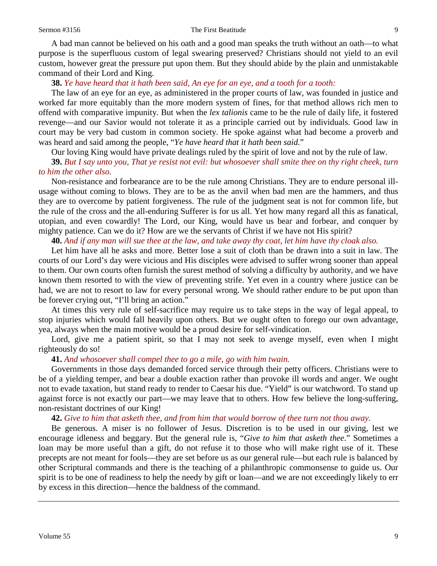A bad man cannot be believed on his oath and a good man speaks the truth without an oath—to what purpose is the superfluous custom of legal swearing preserved? Christians should not yield to an evil custom, however great the pressure put upon them. But they should abide by the plain and unmistakable command of their Lord and King.

**38.** *Ye have heard that it hath been said, An eye for an eye, and a tooth for a tooth:*

The law of an eye for an eye, as administered in the proper courts of law, was founded in justice and worked far more equitably than the more modern system of fines, for that method allows rich men to offend with comparative impunity. But when the *lex talionis* came to be the rule of daily life, it fostered revenge—and our Savior would not tolerate it as a principle carried out by individuals. Good law in court may be very bad custom in common society. He spoke against what had become a proverb and was heard and said among the people, "*Ye have heard that it hath been said*."

Our loving King would have private dealings ruled by the spirit of love and not by the rule of law.

**39.** *But I say unto you, That ye resist not evil: but whosoever shall smite thee on thy right cheek, turn to him the other also.*

Non-resistance and forbearance are to be the rule among Christians. They are to endure personal illusage without coming to blows. They are to be as the anvil when bad men are the hammers, and thus they are to overcome by patient forgiveness. The rule of the judgment seat is not for common life, but the rule of the cross and the all-enduring Sufferer is for us all. Yet how many regard all this as fanatical, utopian, and even cowardly! The Lord, our King, would have us bear and forbear, and conquer by mighty patience. Can we do it? How are we the servants of Christ if we have not His spirit?

# **40.** *And if any man will sue thee at the law, and take away thy coat, let him have thy cloak also.*

Let him have all he asks and more. Better lose a suit of cloth than be drawn into a suit in law. The courts of our Lord's day were vicious and His disciples were advised to suffer wrong sooner than appeal to them. Our own courts often furnish the surest method of solving a difficulty by authority, and we have known them resorted to with the view of preventing strife. Yet even in a country where justice can be had, we are not to resort to law for every personal wrong. We should rather endure to be put upon than be forever crying out, "I'll bring an action."

At times this very rule of self-sacrifice may require us to take steps in the way of legal appeal, to stop injuries which would fall heavily upon others. But we ought often to forego our own advantage, yea, always when the main motive would be a proud desire for self-vindication.

Lord, give me a patient spirit, so that I may not seek to avenge myself, even when I might righteously do so!

# **41.** *And whosoever shall compel thee to go a mile, go with him twain.*

Governments in those days demanded forced service through their petty officers. Christians were to be of a yielding temper, and bear a double exaction rather than provoke ill words and anger. We ought not to evade taxation, but stand ready to render to Caesar his due. "Yield" is our watchword. To stand up against force is not exactly our part—we may leave that to others. How few believe the long-suffering, non-resistant doctrines of our King!

### **42.** *Give to him that asketh thee, and from him that would borrow of thee turn not thou away.*

Be generous. A miser is no follower of Jesus. Discretion is to be used in our giving, lest we encourage idleness and beggary. But the general rule is, "*Give to him that asketh thee*." Sometimes a loan may be more useful than a gift, do not refuse it to those who will make right use of it. These precepts are not meant for fools—they are set before us as our general rule—but each rule is balanced by other Scriptural commands and there is the teaching of a philanthropic commonsense to guide us. Our spirit is to be one of readiness to help the needy by gift or loan—and we are not exceedingly likely to err by excess in this direction—hence the baldness of the command.